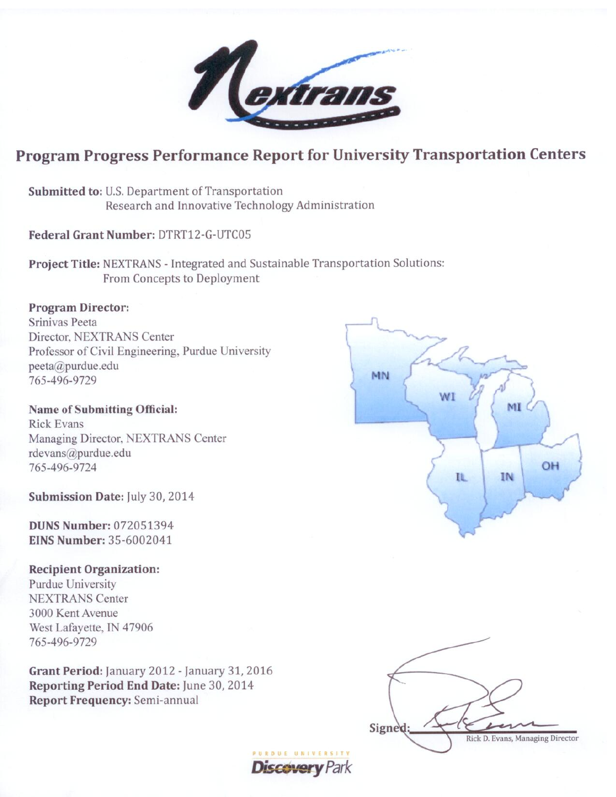$\boldsymbol{\mathcal{I}}$ 

# Program Progress Performance Report for University Transportation Centers

**Discovery Park** 

Submitted to: U.S. Department of Transportation Research and Innovative Technology Administration

Federal Grant Number: DTRT12-G-UTC05

Project Title: NEXTRANS - Integrated and Sustainable Transportation Solutions: From Concepts to Deployment

# **Program Director:**

Srinivas Peeta Director, NEXTRANS Center Professor of Civil Engineering, Purdue University peeta@purdue.edu 765-496-9729

**Name of Submitting Official: Rick Evans** Managing Director, NEXTRANS Center rdevans@purdue.edu 765-496-9724

Submission Date: July 30, 2014

**DUNS Number: 072051394 EINS Number: 35-6002041** 

#### **Recipient Organization:**

Purdue University **NEXTRANS Center** 3000 Kent Avenue West Lafayette, IN 47906 765-496-9729

Grant Period: January 2012 - January 31, 2016 Reporting Period End Date: June 30, 2014 **Report Frequency: Semi-annual** 



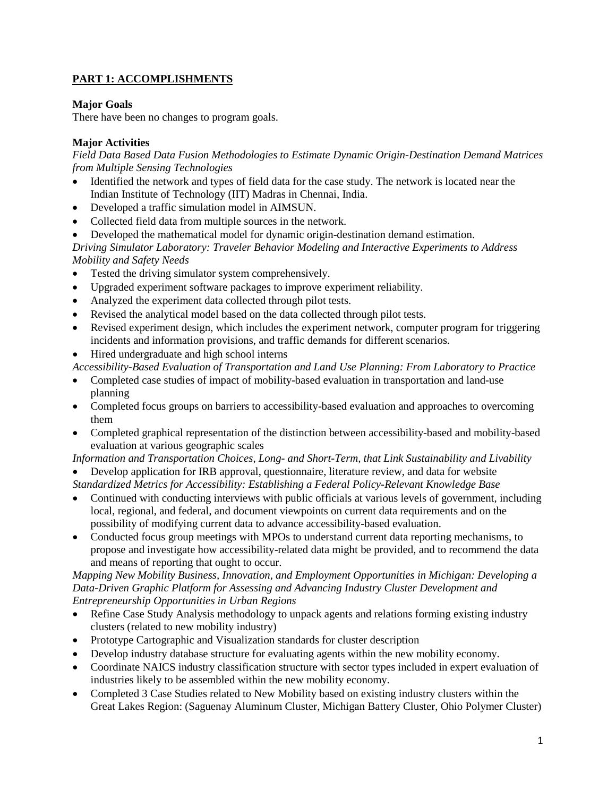# **PART 1: ACCOMPLISHMENTS**

# **Major Goals**

There have been no changes to program goals.

# **Major Activities**

*Field Data Based Data Fusion Methodologies to Estimate Dynamic Origin-Destination Demand Matrices from Multiple Sensing Technologies*

- Identified the network and types of field data for the case study. The network is located near the Indian Institute of Technology (IIT) Madras in Chennai, India.
- Developed a traffic simulation model in AIMSUN.
- Collected field data from multiple sources in the network.
- Developed the mathematical model for dynamic origin-destination demand estimation.

*Driving Simulator Laboratory: Traveler Behavior Modeling and Interactive Experiments to Address Mobility and Safety Needs*

- Tested the driving simulator system comprehensively.
- Upgraded experiment software packages to improve experiment reliability.
- Analyzed the experiment data collected through pilot tests.
- Revised the analytical model based on the data collected through pilot tests.
- Revised experiment design, which includes the experiment network, computer program for triggering incidents and information provisions, and traffic demands for different scenarios.
- Hired undergraduate and high school interns

*Accessibility-Based Evaluation of Transportation and Land Use Planning: From Laboratory to Practice*

- Completed case studies of impact of mobility-based evaluation in transportation and land-use planning
- Completed focus groups on barriers to accessibility-based evaluation and approaches to overcoming them
- Completed graphical representation of the distinction between accessibility-based and mobility-based evaluation at various geographic scales

*Information and Transportation Choices, Long- and Short-Term, that Link Sustainability and Livability*

- Develop application for IRB approval, questionnaire, literature review, and data for website *Standardized Metrics for Accessibility: Establishing a Federal Policy-Relevant Knowledge Base*
- Continued with conducting interviews with public officials at various levels of government, including local, regional, and federal, and document viewpoints on current data requirements and on the possibility of modifying current data to advance accessibility-based evaluation.
- Conducted focus group meetings with MPOs to understand current data reporting mechanisms, to propose and investigate how accessibility-related data might be provided, and to recommend the data and means of reporting that ought to occur.

## *Mapping New Mobility Business, Innovation, and Employment Opportunities in Michigan: Developing a Data-Driven Graphic Platform for Assessing and Advancing Industry Cluster Development and Entrepreneurship Opportunities in Urban Regions*

- Refine Case Study Analysis methodology to unpack agents and relations forming existing industry clusters (related to new mobility industry)
- Prototype Cartographic and Visualization standards for cluster description
- Develop industry database structure for evaluating agents within the new mobility economy.
- Coordinate NAICS industry classification structure with sector types included in expert evaluation of industries likely to be assembled within the new mobility economy.
- Completed 3 Case Studies related to New Mobility based on existing industry clusters within the Great Lakes Region: (Saguenay Aluminum Cluster, Michigan Battery Cluster, Ohio Polymer Cluster)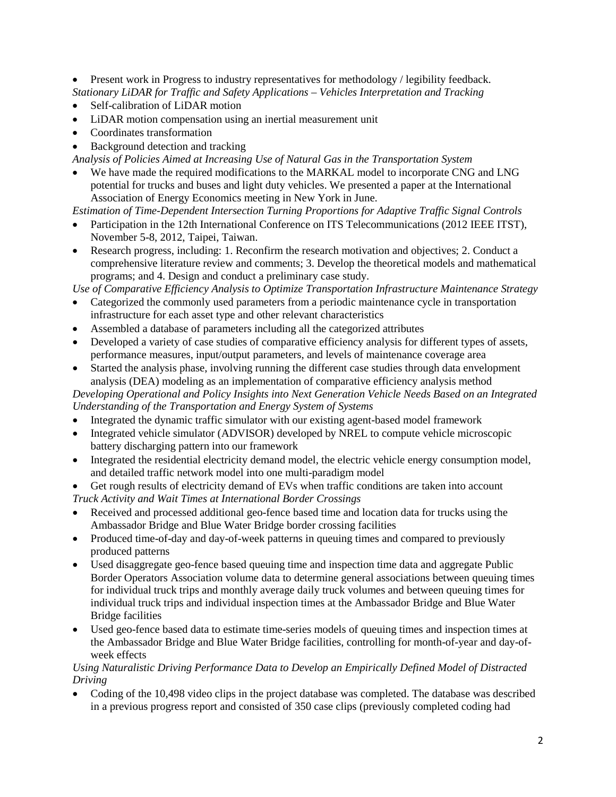• Present work in Progress to industry representatives for methodology / legibility feedback. *Stationary LiDAR for Traffic and Safety Applications – Vehicles Interpretation and Tracking*

- Self-calibration of LiDAR motion
- LiDAR motion compensation using an inertial measurement unit
- Coordinates transformation
- Background detection and tracking

*Analysis of Policies Aimed at Increasing Use of Natural Gas in the Transportation System*

We have made the required modifications to the MARKAL model to incorporate CNG and LNG potential for trucks and buses and light duty vehicles. We presented a paper at the International Association of Energy Economics meeting in New York in June.

*Estimation of Time-Dependent Intersection Turning Proportions for Adaptive Traffic Signal Controls*

- Participation in the 12th International Conference on ITS Telecommunications (2012 IEEE ITST), November 5-8, 2012, Taipei, Taiwan.
- Research progress, including: 1. Reconfirm the research motivation and objectives; 2. Conduct a comprehensive literature review and comments; 3. Develop the theoretical models and mathematical programs; and 4. Design and conduct a preliminary case study.

*Use of Comparative Efficiency Analysis to Optimize Transportation Infrastructure Maintenance Strategy*

- Categorized the commonly used parameters from a periodic maintenance cycle in transportation infrastructure for each asset type and other relevant characteristics
- Assembled a database of parameters including all the categorized attributes
- Developed a variety of case studies of comparative efficiency analysis for different types of assets, performance measures, input/output parameters, and levels of maintenance coverage area
- Started the analysis phase, involving running the different case studies through data envelopment analysis (DEA) modeling as an implementation of comparative efficiency analysis method

*Developing Operational and Policy Insights into Next Generation Vehicle Needs Based on an Integrated Understanding of the Transportation and Energy System of Systems*

- Integrated the dynamic traffic simulator with our existing agent-based model framework
- Integrated vehicle simulator (ADVISOR) developed by NREL to compute vehicle microscopic battery discharging pattern into our framework
- Integrated the residential electricity demand model, the electric vehicle energy consumption model, and detailed traffic network model into one multi-paradigm model
- Get rough results of electricity demand of EVs when traffic conditions are taken into account *Truck Activity and Wait Times at International Border Crossings*
- Received and processed additional geo-fence based time and location data for trucks using the Ambassador Bridge and Blue Water Bridge border crossing facilities
- Produced time-of-day and day-of-week patterns in queuing times and compared to previously produced patterns
- Used disaggregate geo-fence based queuing time and inspection time data and aggregate Public Border Operators Association volume data to determine general associations between queuing times for individual truck trips and monthly average daily truck volumes and between queuing times for individual truck trips and individual inspection times at the Ambassador Bridge and Blue Water Bridge facilities
- Used geo-fence based data to estimate time-series models of queuing times and inspection times at the Ambassador Bridge and Blue Water Bridge facilities, controlling for month-of-year and day-ofweek effects

## *Using Naturalistic Driving Performance Data to Develop an Empirically Defined Model of Distracted Driving*

• Coding of the 10,498 video clips in the project database was completed. The database was described in a previous progress report and consisted of 350 case clips (previously completed coding had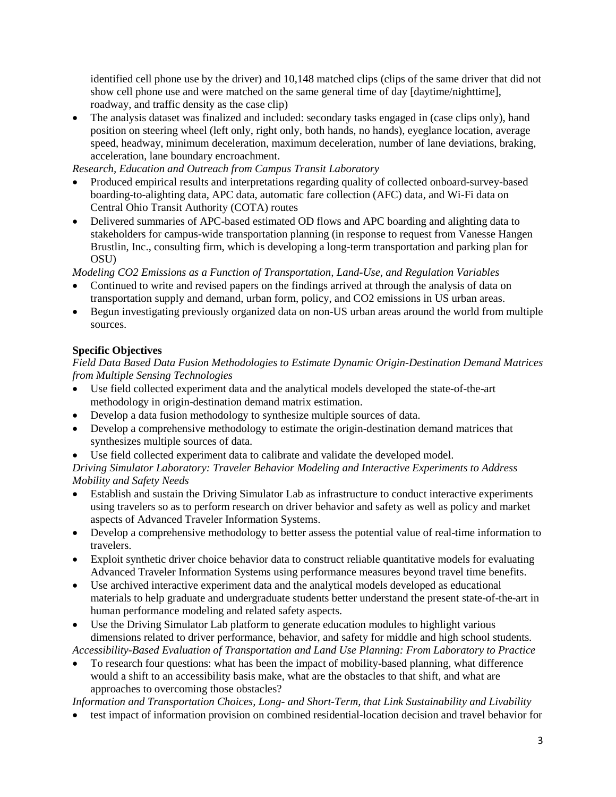identified cell phone use by the driver) and 10,148 matched clips (clips of the same driver that did not show cell phone use and were matched on the same general time of day [daytime/nighttime], roadway, and traffic density as the case clip)

The analysis dataset was finalized and included: secondary tasks engaged in (case clips only), hand position on steering wheel (left only, right only, both hands, no hands), eyeglance location, average speed, headway, minimum deceleration, maximum deceleration, number of lane deviations, braking, acceleration, lane boundary encroachment.

*Research, Education and Outreach from Campus Transit Laboratory*

- Produced empirical results and interpretations regarding quality of collected onboard-survey-based boarding-to-alighting data, APC data, automatic fare collection (AFC) data, and Wi-Fi data on Central Ohio Transit Authority (COTA) routes
- Delivered summaries of APC-based estimated OD flows and APC boarding and alighting data to stakeholders for campus-wide transportation planning (in response to request from Vanesse Hangen Brustlin, Inc., consulting firm, which is developing a long-term transportation and parking plan for OSU)

*Modeling CO2 Emissions as a Function of Transportation, Land-Use, and Regulation Variables*

- Continued to write and revised papers on the findings arrived at through the analysis of data on transportation supply and demand, urban form, policy, and CO2 emissions in US urban areas.
- Begun investigating previously organized data on non-US urban areas around the world from multiple sources.

# **Specific Objectives**

## *Field Data Based Data Fusion Methodologies to Estimate Dynamic Origin-Destination Demand Matrices from Multiple Sensing Technologies*

- Use field collected experiment data and the analytical models developed the state-of-the-art methodology in origin-destination demand matrix estimation.
- Develop a data fusion methodology to synthesize multiple sources of data.
- Develop a comprehensive methodology to estimate the origin-destination demand matrices that synthesizes multiple sources of data.
- Use field collected experiment data to calibrate and validate the developed model.

*Driving Simulator Laboratory: Traveler Behavior Modeling and Interactive Experiments to Address Mobility and Safety Needs*

- Establish and sustain the Driving Simulator Lab as infrastructure to conduct interactive experiments using travelers so as to perform research on driver behavior and safety as well as policy and market aspects of Advanced Traveler Information Systems.
- Develop a comprehensive methodology to better assess the potential value of real-time information to travelers.
- Exploit synthetic driver choice behavior data to construct reliable quantitative models for evaluating Advanced Traveler Information Systems using performance measures beyond travel time benefits.
- Use archived interactive experiment data and the analytical models developed as educational materials to help graduate and undergraduate students better understand the present state-of-the-art in human performance modeling and related safety aspects.
- Use the Driving Simulator Lab platform to generate education modules to highlight various dimensions related to driver performance, behavior, and safety for middle and high school students.

*Accessibility-Based Evaluation of Transportation and Land Use Planning: From Laboratory to Practice*

• To research four questions: what has been the impact of mobility-based planning, what difference would a shift to an accessibility basis make, what are the obstacles to that shift, and what are approaches to overcoming those obstacles?

*Information and Transportation Choices, Long- and Short-Term, that Link Sustainability and Livability*

• test impact of information provision on combined residential-location decision and travel behavior for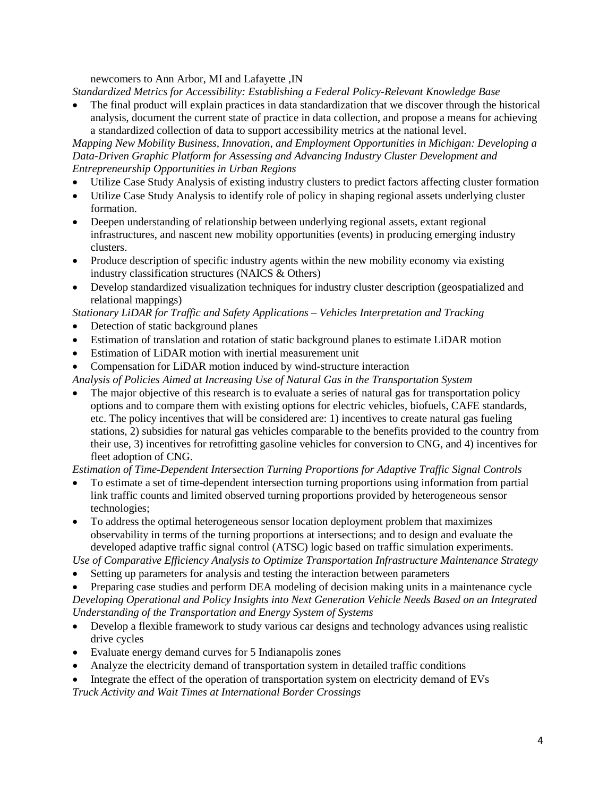newcomers to Ann Arbor, MI and Lafayette ,IN

*Standardized Metrics for Accessibility: Establishing a Federal Policy-Relevant Knowledge Base*

• The final product will explain practices in data standardization that we discover through the historical analysis, document the current state of practice in data collection, and propose a means for achieving a standardized collection of data to support accessibility metrics at the national level.

*Mapping New Mobility Business, Innovation, and Employment Opportunities in Michigan: Developing a Data-Driven Graphic Platform for Assessing and Advancing Industry Cluster Development and Entrepreneurship Opportunities in Urban Regions*

- Utilize Case Study Analysis of existing industry clusters to predict factors affecting cluster formation
- Utilize Case Study Analysis to identify role of policy in shaping regional assets underlying cluster formation.
- Deepen understanding of relationship between underlying regional assets, extant regional infrastructures, and nascent new mobility opportunities (events) in producing emerging industry clusters.
- Produce description of specific industry agents within the new mobility economy via existing industry classification structures (NAICS & Others)
- Develop standardized visualization techniques for industry cluster description (geospatialized and relational mappings)

*Stationary LiDAR for Traffic and Safety Applications – Vehicles Interpretation and Tracking*

- Detection of static background planes
- Estimation of translation and rotation of static background planes to estimate LiDAR motion
- Estimation of LiDAR motion with inertial measurement unit
- Compensation for LiDAR motion induced by wind-structure interaction
- *Analysis of Policies Aimed at Increasing Use of Natural Gas in the Transportation System*
- The major objective of this research is to evaluate a series of natural gas for transportation policy options and to compare them with existing options for electric vehicles, biofuels, CAFE standards, etc. The policy incentives that will be considered are: 1) incentives to create natural gas fueling stations, 2) subsidies for natural gas vehicles comparable to the benefits provided to the country from their use, 3) incentives for retrofitting gasoline vehicles for conversion to CNG, and 4) incentives for fleet adoption of CNG.

*Estimation of Time-Dependent Intersection Turning Proportions for Adaptive Traffic Signal Controls*

- To estimate a set of time-dependent intersection turning proportions using information from partial link traffic counts and limited observed turning proportions provided by heterogeneous sensor technologies;
- To address the optimal heterogeneous sensor location deployment problem that maximizes observability in terms of the turning proportions at intersections; and to design and evaluate the developed adaptive traffic signal control (ATSC) logic based on traffic simulation experiments.

*Use of Comparative Efficiency Analysis to Optimize Transportation Infrastructure Maintenance Strategy*

- Setting up parameters for analysis and testing the interaction between parameters
- Preparing case studies and perform DEA modeling of decision making units in a maintenance cycle *Developing Operational and Policy Insights into Next Generation Vehicle Needs Based on an Integrated Understanding of the Transportation and Energy System of Systems*
- Develop a flexible framework to study various car designs and technology advances using realistic drive cycles
- Evaluate energy demand curves for 5 Indianapolis zones
- Analyze the electricity demand of transportation system in detailed traffic conditions
- Integrate the effect of the operation of transportation system on electricity demand of EVs

*Truck Activity and Wait Times at International Border Crossings*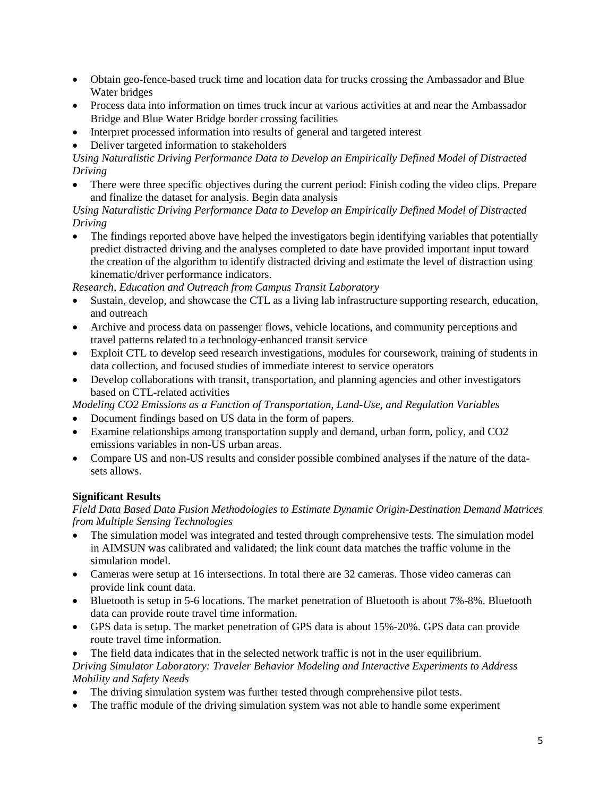- Obtain geo-fence-based truck time and location data for trucks crossing the Ambassador and Blue Water bridges
- Process data into information on times truck incur at various activities at and near the Ambassador Bridge and Blue Water Bridge border crossing facilities
- Interpret processed information into results of general and targeted interest
- Deliver targeted information to stakeholders

*Using Naturalistic Driving Performance Data to Develop an Empirically Defined Model of Distracted Driving*

• There were three specific objectives during the current period: Finish coding the video clips. Prepare and finalize the dataset for analysis. Begin data analysis

*Using Naturalistic Driving Performance Data to Develop an Empirically Defined Model of Distracted Driving*

• The findings reported above have helped the investigators begin identifying variables that potentially predict distracted driving and the analyses completed to date have provided important input toward the creation of the algorithm to identify distracted driving and estimate the level of distraction using kinematic/driver performance indicators.

*Research, Education and Outreach from Campus Transit Laboratory*

- Sustain, develop, and showcase the CTL as a living lab infrastructure supporting research, education, and outreach
- Archive and process data on passenger flows, vehicle locations, and community perceptions and travel patterns related to a technology-enhanced transit service
- Exploit CTL to develop seed research investigations, modules for coursework, training of students in data collection, and focused studies of immediate interest to service operators
- Develop collaborations with transit, transportation, and planning agencies and other investigators based on CTL-related activities

*Modeling CO2 Emissions as a Function of Transportation, Land-Use, and Regulation Variables*

- Document findings based on US data in the form of papers.
- Examine relationships among transportation supply and demand, urban form, policy, and CO2 emissions variables in non-US urban areas.
- Compare US and non-US results and consider possible combined analyses if the nature of the datasets allows.

## **Significant Results**

*Field Data Based Data Fusion Methodologies to Estimate Dynamic Origin-Destination Demand Matrices from Multiple Sensing Technologies*

- The simulation model was integrated and tested through comprehensive tests. The simulation model in AIMSUN was calibrated and validated; the link count data matches the traffic volume in the simulation model.
- Cameras were setup at 16 intersections. In total there are 32 cameras. Those video cameras can provide link count data.
- Bluetooth is setup in 5-6 locations. The market penetration of Bluetooth is about 7%-8%. Bluetooth data can provide route travel time information.
- GPS data is setup. The market penetration of GPS data is about 15%-20%. GPS data can provide route travel time information.

The field data indicates that in the selected network traffic is not in the user equilibrium. *Driving Simulator Laboratory: Traveler Behavior Modeling and Interactive Experiments to Address Mobility and Safety Needs*

- The driving simulation system was further tested through comprehensive pilot tests.
- The traffic module of the driving simulation system was not able to handle some experiment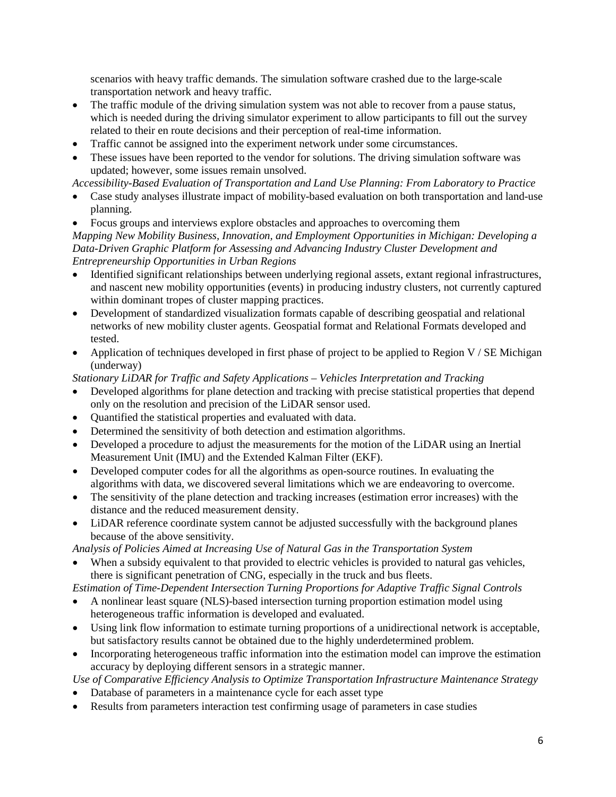scenarios with heavy traffic demands. The simulation software crashed due to the large-scale transportation network and heavy traffic.

- The traffic module of the driving simulation system was not able to recover from a pause status, which is needed during the driving simulator experiment to allow participants to fill out the survey related to their en route decisions and their perception of real-time information.
- Traffic cannot be assigned into the experiment network under some circumstances.
- These issues have been reported to the vendor for solutions. The driving simulation software was updated; however, some issues remain unsolved.

*Accessibility-Based Evaluation of Transportation and Land Use Planning: From Laboratory to Practice*

- Case study analyses illustrate impact of mobility-based evaluation on both transportation and land-use planning.
- Focus groups and interviews explore obstacles and approaches to overcoming them

*Mapping New Mobility Business, Innovation, and Employment Opportunities in Michigan: Developing a Data-Driven Graphic Platform for Assessing and Advancing Industry Cluster Development and Entrepreneurship Opportunities in Urban Regions*

- Identified significant relationships between underlying regional assets, extant regional infrastructures, and nascent new mobility opportunities (events) in producing industry clusters, not currently captured within dominant tropes of cluster mapping practices.
- Development of standardized visualization formats capable of describing geospatial and relational networks of new mobility cluster agents. Geospatial format and Relational Formats developed and tested.
- Application of techniques developed in first phase of project to be applied to Region V / SE Michigan (underway)

*Stationary LiDAR for Traffic and Safety Applications – Vehicles Interpretation and Tracking*

- Developed algorithms for plane detection and tracking with precise statistical properties that depend only on the resolution and precision of the LiDAR sensor used.
- Quantified the statistical properties and evaluated with data.
- Determined the sensitivity of both detection and estimation algorithms.
- Developed a procedure to adjust the measurements for the motion of the LiDAR using an Inertial Measurement Unit (IMU) and the Extended Kalman Filter (EKF).
- Developed computer codes for all the algorithms as open-source routines. In evaluating the algorithms with data, we discovered several limitations which we are endeavoring to overcome.
- The sensitivity of the plane detection and tracking increases (estimation error increases) with the distance and the reduced measurement density.
- LiDAR reference coordinate system cannot be adjusted successfully with the background planes because of the above sensitivity.

*Analysis of Policies Aimed at Increasing Use of Natural Gas in the Transportation System*

When a subsidy equivalent to that provided to electric vehicles is provided to natural gas vehicles, there is significant penetration of CNG, especially in the truck and bus fleets.

*Estimation of Time-Dependent Intersection Turning Proportions for Adaptive Traffic Signal Controls*

- A nonlinear least square (NLS)-based intersection turning proportion estimation model using heterogeneous traffic information is developed and evaluated.
- Using link flow information to estimate turning proportions of a unidirectional network is acceptable, but satisfactory results cannot be obtained due to the highly underdetermined problem.
- Incorporating heterogeneous traffic information into the estimation model can improve the estimation accuracy by deploying different sensors in a strategic manner.

*Use of Comparative Efficiency Analysis to Optimize Transportation Infrastructure Maintenance Strategy*

- Database of parameters in a maintenance cycle for each asset type
- Results from parameters interaction test confirming usage of parameters in case studies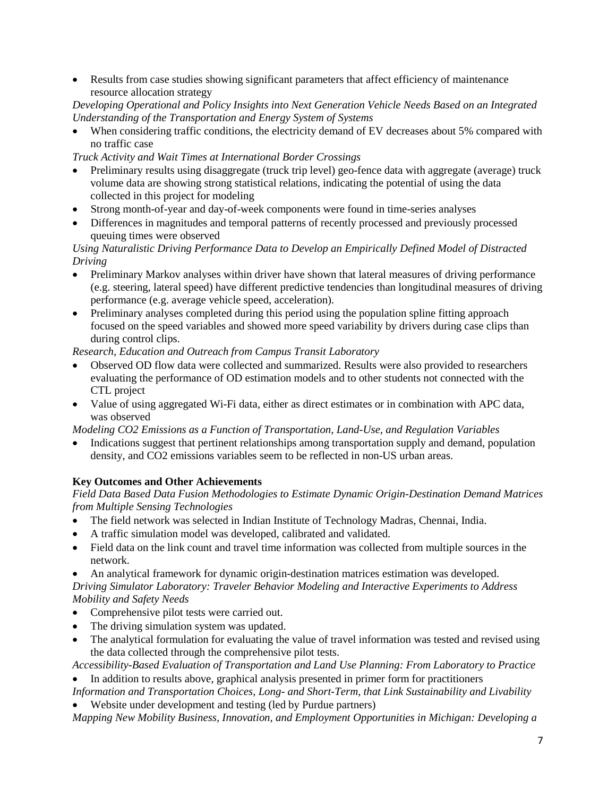• Results from case studies showing significant parameters that affect efficiency of maintenance resource allocation strategy

*Developing Operational and Policy Insights into Next Generation Vehicle Needs Based on an Integrated Understanding of the Transportation and Energy System of Systems*

When considering traffic conditions, the electricity demand of EV decreases about 5% compared with no traffic case

*Truck Activity and Wait Times at International Border Crossings*

- Preliminary results using disaggregate (truck trip level) geo-fence data with aggregate (average) truck volume data are showing strong statistical relations, indicating the potential of using the data collected in this project for modeling
- Strong month-of-year and day-of-week components were found in time-series analyses
- Differences in magnitudes and temporal patterns of recently processed and previously processed queuing times were observed

## *Using Naturalistic Driving Performance Data to Develop an Empirically Defined Model of Distracted Driving*

- Preliminary Markov analyses within driver have shown that lateral measures of driving performance (e.g. steering, lateral speed) have different predictive tendencies than longitudinal measures of driving performance (e.g. average vehicle speed, acceleration).
- Preliminary analyses completed during this period using the population spline fitting approach focused on the speed variables and showed more speed variability by drivers during case clips than during control clips.

# *Research, Education and Outreach from Campus Transit Laboratory*

- Observed OD flow data were collected and summarized. Results were also provided to researchers evaluating the performance of OD estimation models and to other students not connected with the CTL project
- Value of using aggregated Wi-Fi data, either as direct estimates or in combination with APC data, was observed

*Modeling CO2 Emissions as a Function of Transportation, Land-Use, and Regulation Variables*

• Indications suggest that pertinent relationships among transportation supply and demand, population density, and CO2 emissions variables seem to be reflected in non-US urban areas.

## **Key Outcomes and Other Achievements**

*Field Data Based Data Fusion Methodologies to Estimate Dynamic Origin-Destination Demand Matrices from Multiple Sensing Technologies*

- The field network was selected in Indian Institute of Technology Madras, Chennai, India.
- A traffic simulation model was developed, calibrated and validated.
- Field data on the link count and travel time information was collected from multiple sources in the network.
- An analytical framework for dynamic origin-destination matrices estimation was developed. *Driving Simulator Laboratory: Traveler Behavior Modeling and Interactive Experiments to Address Mobility and Safety Needs*
- Comprehensive pilot tests were carried out.
- The driving simulation system was updated.
- The analytical formulation for evaluating the value of travel information was tested and revised using the data collected through the comprehensive pilot tests.

*Accessibility-Based Evaluation of Transportation and Land Use Planning: From Laboratory to Practice* • In addition to results above, graphical analysis presented in primer form for practitioners

*Information and Transportation Choices, Long- and Short-Term, that Link Sustainability and Livability* Website under development and testing (led by Purdue partners)

*Mapping New Mobility Business, Innovation, and Employment Opportunities in Michigan: Developing a*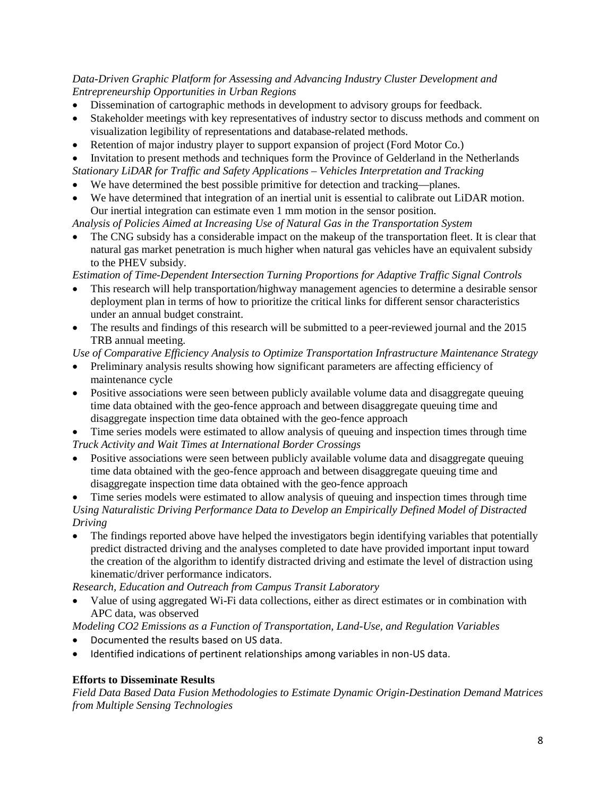## *Data-Driven Graphic Platform for Assessing and Advancing Industry Cluster Development and Entrepreneurship Opportunities in Urban Regions*

- Dissemination of cartographic methods in development to advisory groups for feedback.
- Stakeholder meetings with key representatives of industry sector to discuss methods and comment on visualization legibility of representations and database-related methods.
- Retention of major industry player to support expansion of project (Ford Motor Co.)

• Invitation to present methods and techniques form the Province of Gelderland in the Netherlands *Stationary LiDAR for Traffic and Safety Applications – Vehicles Interpretation and Tracking*

- We have determined the best possible primitive for detection and tracking—planes.
- We have determined that integration of an inertial unit is essential to calibrate out LiDAR motion. Our inertial integration can estimate even 1 mm motion in the sensor position.

*Analysis of Policies Aimed at Increasing Use of Natural Gas in the Transportation System*

• The CNG subsidy has a considerable impact on the makeup of the transportation fleet. It is clear that natural gas market penetration is much higher when natural gas vehicles have an equivalent subsidy to the PHEV subsidy.

*Estimation of Time-Dependent Intersection Turning Proportions for Adaptive Traffic Signal Controls*

- This research will help transportation/highway management agencies to determine a desirable sensor deployment plan in terms of how to prioritize the critical links for different sensor characteristics under an annual budget constraint.
- The results and findings of this research will be submitted to a peer-reviewed journal and the 2015 TRB annual meeting.

*Use of Comparative Efficiency Analysis to Optimize Transportation Infrastructure Maintenance Strategy*

- Preliminary analysis results showing how significant parameters are affecting efficiency of maintenance cycle
- Positive associations were seen between publicly available volume data and disaggregate queuing time data obtained with the geo-fence approach and between disaggregate queuing time and disaggregate inspection time data obtained with the geo-fence approach

• Time series models were estimated to allow analysis of queuing and inspection times through time *Truck Activity and Wait Times at International Border Crossings*

• Positive associations were seen between publicly available volume data and disaggregate queuing time data obtained with the geo-fence approach and between disaggregate queuing time and disaggregate inspection time data obtained with the geo-fence approach

• Time series models were estimated to allow analysis of queuing and inspection times through time *Using Naturalistic Driving Performance Data to Develop an Empirically Defined Model of Distracted Driving*

• The findings reported above have helped the investigators begin identifying variables that potentially predict distracted driving and the analyses completed to date have provided important input toward the creation of the algorithm to identify distracted driving and estimate the level of distraction using kinematic/driver performance indicators.

*Research, Education and Outreach from Campus Transit Laboratory*

• Value of using aggregated Wi-Fi data collections, either as direct estimates or in combination with APC data, was observed

*Modeling CO2 Emissions as a Function of Transportation, Land-Use, and Regulation Variables*

- Documented the results based on US data.
- Identified indications of pertinent relationships among variables in non-US data.

## **Efforts to Disseminate Results**

*Field Data Based Data Fusion Methodologies to Estimate Dynamic Origin-Destination Demand Matrices from Multiple Sensing Technologies*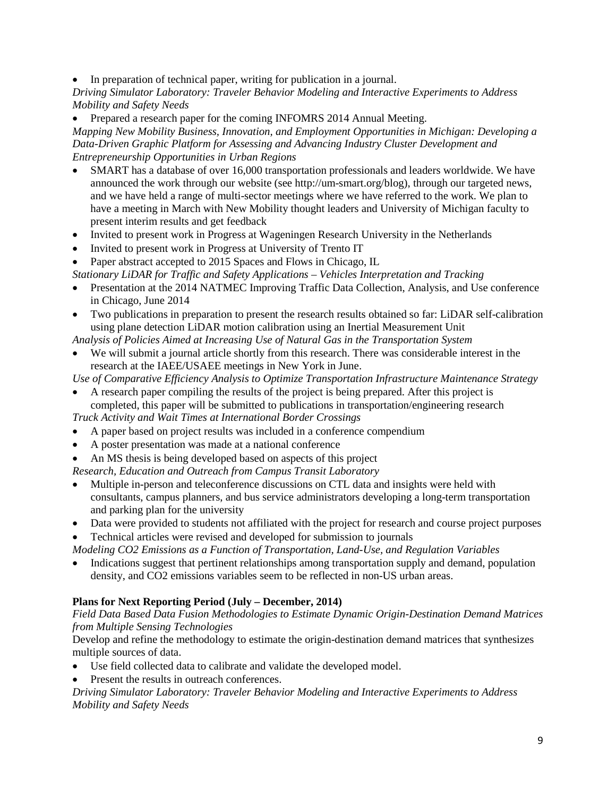In preparation of technical paper, writing for publication in a journal.

*Driving Simulator Laboratory: Traveler Behavior Modeling and Interactive Experiments to Address Mobility and Safety Needs*

• Prepared a research paper for the coming INFOMRS 2014 Annual Meeting.

*Mapping New Mobility Business, Innovation, and Employment Opportunities in Michigan: Developing a Data-Driven Graphic Platform for Assessing and Advancing Industry Cluster Development and Entrepreneurship Opportunities in Urban Regions*

- SMART has a database of over 16,000 transportation professionals and leaders worldwide. We have announced the work through our website (see http://um-smart.org/blog), through our targeted news, and we have held a range of multi-sector meetings where we have referred to the work. We plan to have a meeting in March with New Mobility thought leaders and University of Michigan faculty to present interim results and get feedback
- Invited to present work in Progress at Wageningen Research University in the Netherlands
- Invited to present work in Progress at University of Trento IT
- Paper abstract accepted to 2015 Spaces and Flows in Chicago, IL

*Stationary LiDAR for Traffic and Safety Applications – Vehicles Interpretation and Tracking*

- Presentation at the 2014 NATMEC Improving Traffic Data Collection, Analysis, and Use conference in Chicago, June 2014
- Two publications in preparation to present the research results obtained so far: LiDAR self-calibration using plane detection LiDAR motion calibration using an Inertial Measurement Unit

*Analysis of Policies Aimed at Increasing Use of Natural Gas in the Transportation System*

• We will submit a journal article shortly from this research. There was considerable interest in the research at the IAEE/USAEE meetings in New York in June.

*Use of Comparative Efficiency Analysis to Optimize Transportation Infrastructure Maintenance Strategy*

• A research paper compiling the results of the project is being prepared. After this project is completed, this paper will be submitted to publications in transportation/engineering research

*Truck Activity and Wait Times at International Border Crossings*

- A paper based on project results was included in a conference compendium
- A poster presentation was made at a national conference
- An MS thesis is being developed based on aspects of this project

*Research, Education and Outreach from Campus Transit Laboratory*

- Multiple in-person and teleconference discussions on CTL data and insights were held with consultants, campus planners, and bus service administrators developing a long-term transportation and parking plan for the university
- Data were provided to students not affiliated with the project for research and course project purposes
- Technical articles were revised and developed for submission to journals

*Modeling CO2 Emissions as a Function of Transportation, Land-Use, and Regulation Variables*

• Indications suggest that pertinent relationships among transportation supply and demand, population density, and CO2 emissions variables seem to be reflected in non-US urban areas.

# **Plans for Next Reporting Period (July – December, 2014)**

*Field Data Based Data Fusion Methodologies to Estimate Dynamic Origin-Destination Demand Matrices from Multiple Sensing Technologies*

Develop and refine the methodology to estimate the origin-destination demand matrices that synthesizes multiple sources of data.

- Use field collected data to calibrate and validate the developed model.
- Present the results in outreach conferences.

*Driving Simulator Laboratory: Traveler Behavior Modeling and Interactive Experiments to Address Mobility and Safety Needs*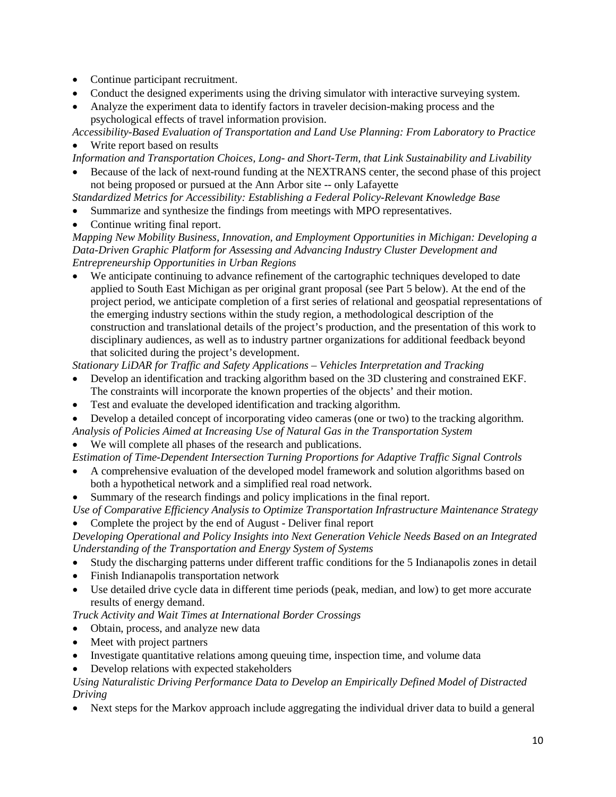- Continue participant recruitment.
- Conduct the designed experiments using the driving simulator with interactive surveying system.
- Analyze the experiment data to identify factors in traveler decision-making process and the psychological effects of travel information provision.

*Accessibility-Based Evaluation of Transportation and Land Use Planning: From Laboratory to Practice* Write report based on results

*Information and Transportation Choices, Long- and Short-Term, that Link Sustainability and Livability*

- Because of the lack of next-round funding at the NEXTRANS center, the second phase of this project not being proposed or pursued at the Ann Arbor site -- only Lafayette
- *Standardized Metrics for Accessibility: Establishing a Federal Policy-Relevant Knowledge Base*
- Summarize and synthesize the findings from meetings with MPO representatives.
- Continue writing final report.

*Mapping New Mobility Business, Innovation, and Employment Opportunities in Michigan: Developing a Data-Driven Graphic Platform for Assessing and Advancing Industry Cluster Development and Entrepreneurship Opportunities in Urban Regions*

We anticipate continuing to advance refinement of the cartographic techniques developed to date applied to South East Michigan as per original grant proposal (see Part 5 below). At the end of the project period, we anticipate completion of a first series of relational and geospatial representations of the emerging industry sections within the study region, a methodological description of the construction and translational details of the project's production, and the presentation of this work to disciplinary audiences, as well as to industry partner organizations for additional feedback beyond that solicited during the project's development.

*Stationary LiDAR for Traffic and Safety Applications – Vehicles Interpretation and Tracking*

- Develop an identification and tracking algorithm based on the 3D clustering and constrained EKF. The constraints will incorporate the known properties of the objects' and their motion.
- Test and evaluate the developed identification and tracking algorithm.
- Develop a detailed concept of incorporating video cameras (one or two) to the tracking algorithm.
- *Analysis of Policies Aimed at Increasing Use of Natural Gas in the Transportation System*
- We will complete all phases of the research and publications.

*Estimation of Time-Dependent Intersection Turning Proportions for Adaptive Traffic Signal Controls*

- A comprehensive evaluation of the developed model framework and solution algorithms based on both a hypothetical network and a simplified real road network.
- Summary of the research findings and policy implications in the final report.

*Use of Comparative Efficiency Analysis to Optimize Transportation Infrastructure Maintenance Strategy*

• Complete the project by the end of August - Deliver final report

*Developing Operational and Policy Insights into Next Generation Vehicle Needs Based on an Integrated Understanding of the Transportation and Energy System of Systems*

- Study the discharging patterns under different traffic conditions for the 5 Indianapolis zones in detail
- Finish Indianapolis transportation network
- Use detailed drive cycle data in different time periods (peak, median, and low) to get more accurate results of energy demand.

*Truck Activity and Wait Times at International Border Crossings*

- Obtain, process, and analyze new data
- Meet with project partners
- Investigate quantitative relations among queuing time, inspection time, and volume data
- Develop relations with expected stakeholders

## *Using Naturalistic Driving Performance Data to Develop an Empirically Defined Model of Distracted Driving*

• Next steps for the Markov approach include aggregating the individual driver data to build a general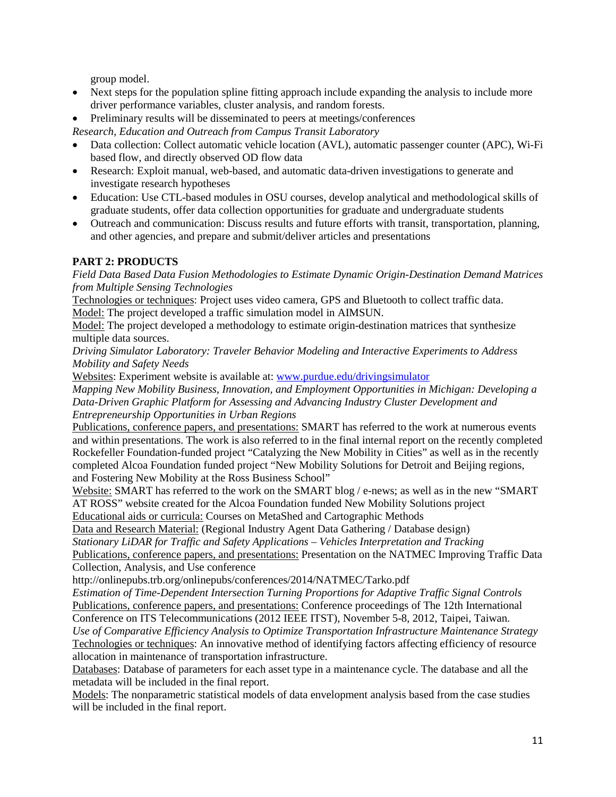group model.

- Next steps for the population spline fitting approach include expanding the analysis to include more driver performance variables, cluster analysis, and random forests.
- Preliminary results will be disseminated to peers at meetings/conferences

*Research, Education and Outreach from Campus Transit Laboratory*

- Data collection: Collect automatic vehicle location (AVL), automatic passenger counter (APC), Wi-Fi based flow, and directly observed OD flow data
- Research: Exploit manual, web-based, and automatic data-driven investigations to generate and investigate research hypotheses
- Education: Use CTL-based modules in OSU courses, develop analytical and methodological skills of graduate students, offer data collection opportunities for graduate and undergraduate students
- Outreach and communication: Discuss results and future efforts with transit, transportation, planning, and other agencies, and prepare and submit/deliver articles and presentations

# **PART 2: PRODUCTS**

*Field Data Based Data Fusion Methodologies to Estimate Dynamic Origin-Destination Demand Matrices from Multiple Sensing Technologies*

Technologies or techniques: Project uses video camera, GPS and Bluetooth to collect traffic data.

Model: The project developed a traffic simulation model in AIMSUN.

Model: The project developed a methodology to estimate origin-destination matrices that synthesize multiple data sources.

*Driving Simulator Laboratory: Traveler Behavior Modeling and Interactive Experiments to Address Mobility and Safety Needs*

Websites: Experiment website is available at: [www.purdue.edu/drivingsimulator](http://www.purdue.edu/drivingsimulator)

*Mapping New Mobility Business, Innovation, and Employment Opportunities in Michigan: Developing a Data-Driven Graphic Platform for Assessing and Advancing Industry Cluster Development and Entrepreneurship Opportunities in Urban Regions*

Publications, conference papers, and presentations: SMART has referred to the work at numerous events and within presentations. The work is also referred to in the final internal report on the recently completed Rockefeller Foundation-funded project "Catalyzing the New Mobility in Cities" as well as in the recently completed Alcoa Foundation funded project "New Mobility Solutions for Detroit and Beijing regions, and Fostering New Mobility at the Ross Business School"

Website: SMART has referred to the work on the SMART blog / e-news; as well as in the new "SMART AT ROSS" website created for the Alcoa Foundation funded New Mobility Solutions project Educational aids or curricula: Courses on MetaShed and Cartographic Methods

Data and Research Material: (Regional Industry Agent Data Gathering / Database design)

*Stationary LiDAR for Traffic and Safety Applications – Vehicles Interpretation and Tracking* Publications, conference papers, and presentations: Presentation on the NATMEC Improving Traffic Data Collection, Analysis, and Use conference

http://onlinepubs.trb.org/onlinepubs/conferences/2014/NATMEC/Tarko.pdf

*Estimation of Time-Dependent Intersection Turning Proportions for Adaptive Traffic Signal Controls* Publications, conference papers, and presentations: Conference proceedings of The 12th International Conference on ITS Telecommunications (2012 IEEE ITST), November 5-8, 2012, Taipei, Taiwan.

*Use of Comparative Efficiency Analysis to Optimize Transportation Infrastructure Maintenance Strategy* Technologies or techniques: An innovative method of identifying factors affecting efficiency of resource allocation in maintenance of transportation infrastructure.

Databases: Database of parameters for each asset type in a maintenance cycle. The database and all the metadata will be included in the final report.

Models: The nonparametric statistical models of data envelopment analysis based from the case studies will be included in the final report.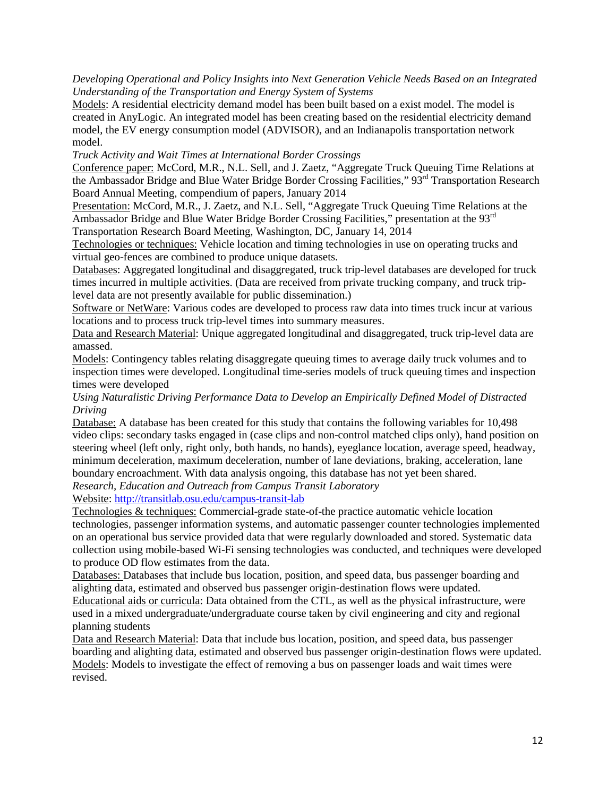*Developing Operational and Policy Insights into Next Generation Vehicle Needs Based on an Integrated Understanding of the Transportation and Energy System of Systems*

Models: A residential electricity demand model has been built based on a exist model. The model is created in AnyLogic. An integrated model has been creating based on the residential electricity demand model, the EV energy consumption model (ADVISOR), and an Indianapolis transportation network model.

*Truck Activity and Wait Times at International Border Crossings*

Conference paper: McCord, M.R., N.L. Sell, and J. Zaetz, "Aggregate Truck Queuing Time Relations at the Ambassador Bridge and Blue Water Bridge Border Crossing Facilities," 93<sup>rd</sup> Transportation Research Board Annual Meeting, compendium of papers, January 2014

Presentation: McCord, M.R., J. Zaetz, and N.L. Sell, "Aggregate Truck Queuing Time Relations at the Ambassador Bridge and Blue Water Bridge Border Crossing Facilities," presentation at the 93<sup>rd</sup> Transportation Research Board Meeting, Washington, DC, January 14, 2014

Technologies or techniques: Vehicle location and timing technologies in use on operating trucks and virtual geo-fences are combined to produce unique datasets.

Databases: Aggregated longitudinal and disaggregated, truck trip-level databases are developed for truck times incurred in multiple activities. (Data are received from private trucking company, and truck triplevel data are not presently available for public dissemination.)

Software or NetWare: Various codes are developed to process raw data into times truck incur at various locations and to process truck trip-level times into summary measures.

Data and Research Material: Unique aggregated longitudinal and disaggregated, truck trip-level data are amassed.

Models: Contingency tables relating disaggregate queuing times to average daily truck volumes and to inspection times were developed. Longitudinal time-series models of truck queuing times and inspection times were developed

#### *Using Naturalistic Driving Performance Data to Develop an Empirically Defined Model of Distracted Driving*

Database: A database has been created for this study that contains the following variables for 10,498 video clips: secondary tasks engaged in (case clips and non-control matched clips only), hand position on steering wheel (left only, right only, both hands, no hands), eyeglance location, average speed, headway, minimum deceleration, maximum deceleration, number of lane deviations, braking, acceleration, lane boundary encroachment. With data analysis ongoing, this database has not yet been shared.

*Research, Education and Outreach from Campus Transit Laboratory*

Website:<http://transitlab.osu.edu/campus-transit-lab>

Technologies & techniques: Commercial-grade state-of-the practice automatic vehicle location technologies, passenger information systems, and automatic passenger counter technologies implemented on an operational bus service provided data that were regularly downloaded and stored. Systematic data collection using mobile-based Wi-Fi sensing technologies was conducted, and techniques were developed to produce OD flow estimates from the data.

Databases: Databases that include bus location, position, and speed data, bus passenger boarding and alighting data, estimated and observed bus passenger origin-destination flows were updated.

Educational aids or curricula: Data obtained from the CTL, as well as the physical infrastructure, were used in a mixed undergraduate/undergraduate course taken by civil engineering and city and regional planning students

Data and Research Material: Data that include bus location, position, and speed data, bus passenger boarding and alighting data, estimated and observed bus passenger origin-destination flows were updated. Models: Models to investigate the effect of removing a bus on passenger loads and wait times were revised.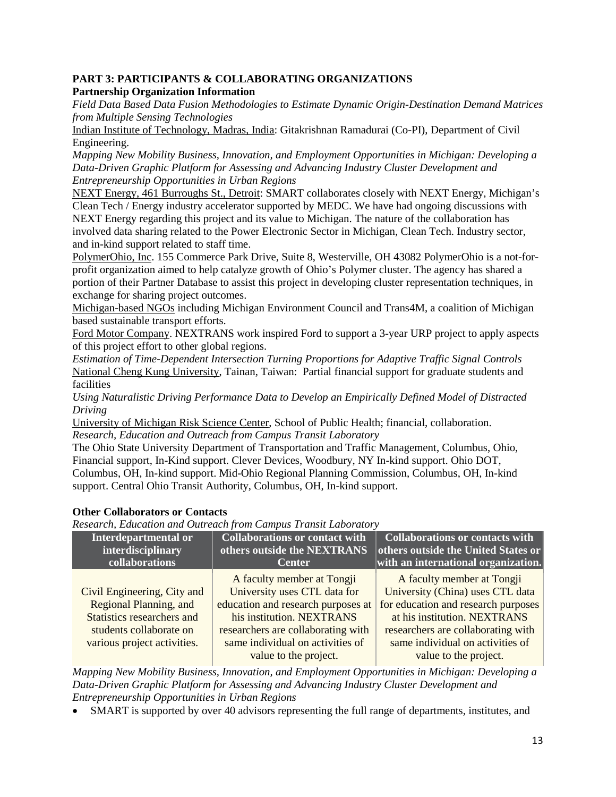#### **PART 3: PARTICIPANTS & COLLABORATING ORGANIZATIONS Partnership Organization Information**

*Field Data Based Data Fusion Methodologies to Estimate Dynamic Origin-Destination Demand Matrices from Multiple Sensing Technologies*

Indian Institute of Technology, Madras, India: Gitakrishnan Ramadurai (Co-PI), Department of Civil Engineering.

*Mapping New Mobility Business, Innovation, and Employment Opportunities in Michigan: Developing a Data-Driven Graphic Platform for Assessing and Advancing Industry Cluster Development and Entrepreneurship Opportunities in Urban Regions*

NEXT Energy, 461 Burroughs St., Detroit: SMART collaborates closely with NEXT Energy, Michigan's Clean Tech / Energy industry accelerator supported by MEDC. We have had ongoing discussions with NEXT Energy regarding this project and its value to Michigan. The nature of the collaboration has involved data sharing related to the Power Electronic Sector in Michigan, Clean Tech. Industry sector, and in-kind support related to staff time.

PolymerOhio, Inc. 155 Commerce Park Drive, Suite 8, Westerville, OH 43082 PolymerOhio is a not-forprofit organization aimed to help catalyze growth of Ohio's Polymer cluster. The agency has shared a portion of their Partner Database to assist this project in developing cluster representation techniques, in exchange for sharing project outcomes.

Michigan-based NGOs including Michigan Environment Council and Trans4M, a coalition of Michigan based sustainable transport efforts.

Ford Motor Company. NEXTRANS work inspired Ford to support a 3-year URP project to apply aspects of this project effort to other global regions.

*Estimation of Time-Dependent Intersection Turning Proportions for Adaptive Traffic Signal Controls* National Cheng Kung University, Tainan, Taiwan: Partial financial support for graduate students and facilities

*Using Naturalistic Driving Performance Data to Develop an Empirically Defined Model of Distracted Driving*

University of Michigan Risk Science Center, School of Public Health; financial, collaboration. *Research, Education and Outreach from Campus Transit Laboratory*

The Ohio State University Department of Transportation and Traffic Management, Columbus, Ohio, Financial support, In-Kind support. Clever Devices, Woodbury, NY In-kind support. Ohio DOT, Columbus, OH, In-kind support. Mid-Ohio Regional Planning Commission, Columbus, OH, In-kind support. Central Ohio Transit Authority, Columbus, OH, In-kind support.

## **Other Collaborators or Contacts**

*Research, Education and Outreach from Campus Transit Laboratory*

| Interdepartmental or                                                                                                                          | <b>Collaborations or contact with</b>                                                                                                                                                                                            | <b>Collaborations or contacts with</b>                                                                                                                                                                                                   |
|-----------------------------------------------------------------------------------------------------------------------------------------------|----------------------------------------------------------------------------------------------------------------------------------------------------------------------------------------------------------------------------------|------------------------------------------------------------------------------------------------------------------------------------------------------------------------------------------------------------------------------------------|
| interdisciplinary                                                                                                                             | others outside the NEXTRANS                                                                                                                                                                                                      | others outside the United States or                                                                                                                                                                                                      |
| collaborations                                                                                                                                | <b>Center</b>                                                                                                                                                                                                                    | with an international organization.                                                                                                                                                                                                      |
| Civil Engineering, City and<br>Regional Planning, and<br>Statistics researchers and<br>students collaborate on<br>various project activities. | A faculty member at Tongji<br>University uses CTL data for<br>education and research purposes at<br>his institution. NEXTRANS<br>researchers are collaborating with<br>same individual on activities of<br>value to the project. | A faculty member at Tongji<br>University (China) uses CTL data<br>for education and research purposes<br>at his institution. NEXTRANS<br>researchers are collaborating with<br>same individual on activities of<br>value to the project. |

*Mapping New Mobility Business, Innovation, and Employment Opportunities in Michigan: Developing a Data-Driven Graphic Platform for Assessing and Advancing Industry Cluster Development and Entrepreneurship Opportunities in Urban Regions*

• SMART is supported by over 40 advisors representing the full range of departments, institutes, and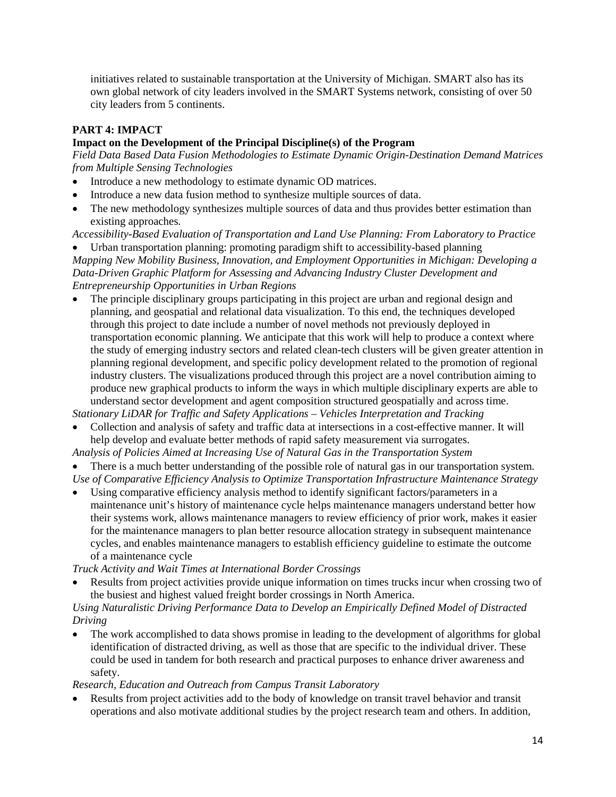initiatives related to sustainable transportation at the University of Michigan. SMART also has its own global network of city leaders involved in the SMART Systems network, consisting of over 50 city leaders from 5 continents.

## **PART 4: IMPACT**

## **Impact on the Development of the Principal Discipline(s) of the Program**

*Field Data Based Data Fusion Methodologies to Estimate Dynamic Origin-Destination Demand Matrices from Multiple Sensing Technologies*

- Introduce a new methodology to estimate dynamic OD matrices.
- Introduce a new data fusion method to synthesize multiple sources of data.
- The new methodology synthesizes multiple sources of data and thus provides better estimation than existing approaches.

*Accessibility-Based Evaluation of Transportation and Land Use Planning: From Laboratory to Practice*

• Urban transportation planning: promoting paradigm shift to accessibility-based planning *Mapping New Mobility Business, Innovation, and Employment Opportunities in Michigan: Developing a Data-Driven Graphic Platform for Assessing and Advancing Industry Cluster Development and Entrepreneurship Opportunities in Urban Regions*

The principle disciplinary groups participating in this project are urban and regional design and planning, and geospatial and relational data visualization. To this end, the techniques developed through this project to date include a number of novel methods not previously deployed in transportation economic planning. We anticipate that this work will help to produce a context where the study of emerging industry sectors and related clean-tech clusters will be given greater attention in planning regional development, and specific policy development related to the promotion of regional industry clusters. The visualizations produced through this project are a novel contribution aiming to produce new graphical products to inform the ways in which multiple disciplinary experts are able to understand sector development and agent composition structured geospatially and across time.

*Stationary LiDAR for Traffic and Safety Applications – Vehicles Interpretation and Tracking*

• Collection and analysis of safety and traffic data at intersections in a cost-effective manner. It will help develop and evaluate better methods of rapid safety measurement via surrogates.

*Analysis of Policies Aimed at Increasing Use of Natural Gas in the Transportation System*

- There is a much better understanding of the possible role of natural gas in our transportation system. *Use of Comparative Efficiency Analysis to Optimize Transportation Infrastructure Maintenance Strategy*
- Using comparative efficiency analysis method to identify significant factors/parameters in a maintenance unit's history of maintenance cycle helps maintenance managers understand better how their systems work, allows maintenance managers to review efficiency of prior work, makes it easier for the maintenance managers to plan better resource allocation strategy in subsequent maintenance cycles, and enables maintenance managers to establish efficiency guideline to estimate the outcome of a maintenance cycle

*Truck Activity and Wait Times at International Border Crossings*

• Results from project activities provide unique information on times trucks incur when crossing two of the busiest and highest valued freight border crossings in North America.

## *Using Naturalistic Driving Performance Data to Develop an Empirically Defined Model of Distracted Driving*

• The work accomplished to data shows promise in leading to the development of algorithms for global identification of distracted driving, as well as those that are specific to the individual driver. These could be used in tandem for both research and practical purposes to enhance driver awareness and safety.

*Research, Education and Outreach from Campus Transit Laboratory*

• Results from project activities add to the body of knowledge on transit travel behavior and transit operations and also motivate additional studies by the project research team and others. In addition,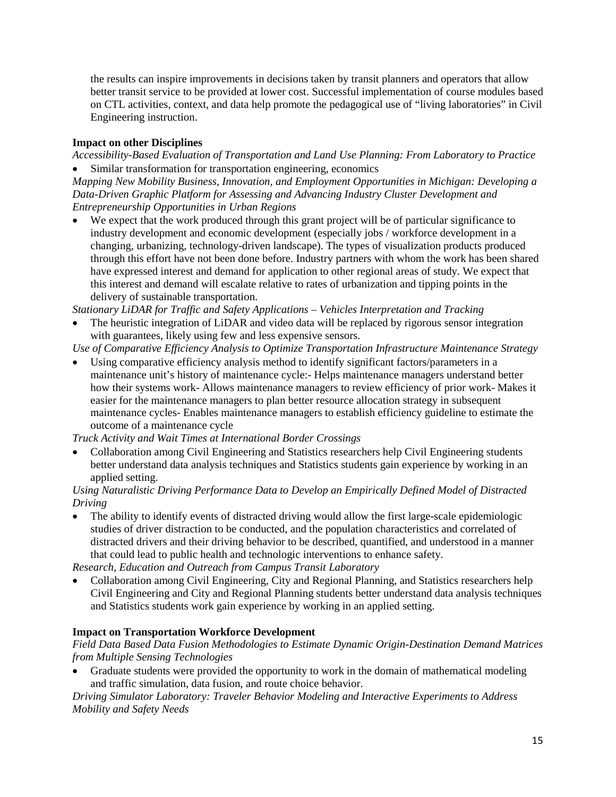the results can inspire improvements in decisions taken by transit planners and operators that allow better transit service to be provided at lower cost. Successful implementation of course modules based on CTL activities, context, and data help promote the pedagogical use of "living laboratories" in Civil Engineering instruction.

## **Impact on other Disciplines**

*Accessibility-Based Evaluation of Transportation and Land Use Planning: From Laboratory to Practice* • Similar transformation for transportation engineering, economics

*Mapping New Mobility Business, Innovation, and Employment Opportunities in Michigan: Developing a Data-Driven Graphic Platform for Assessing and Advancing Industry Cluster Development and Entrepreneurship Opportunities in Urban Regions*

We expect that the work produced through this grant project will be of particular significance to industry development and economic development (especially jobs / workforce development in a changing, urbanizing, technology-driven landscape). The types of visualization products produced through this effort have not been done before. Industry partners with whom the work has been shared have expressed interest and demand for application to other regional areas of study. We expect that this interest and demand will escalate relative to rates of urbanization and tipping points in the delivery of sustainable transportation.

*Stationary LiDAR for Traffic and Safety Applications – Vehicles Interpretation and Tracking*

The heuristic integration of LiDAR and video data will be replaced by rigorous sensor integration with guarantees, likely using few and less expensive sensors.

*Use of Comparative Efficiency Analysis to Optimize Transportation Infrastructure Maintenance Strategy*

• Using comparative efficiency analysis method to identify significant factors/parameters in a maintenance unit's history of maintenance cycle:- Helps maintenance managers understand better how their systems work- Allows maintenance managers to review efficiency of prior work- Makes it easier for the maintenance managers to plan better resource allocation strategy in subsequent maintenance cycles- Enables maintenance managers to establish efficiency guideline to estimate the outcome of a maintenance cycle

*Truck Activity and Wait Times at International Border Crossings*

• Collaboration among Civil Engineering and Statistics researchers help Civil Engineering students better understand data analysis techniques and Statistics students gain experience by working in an applied setting.

## *Using Naturalistic Driving Performance Data to Develop an Empirically Defined Model of Distracted Driving*

The ability to identify events of distracted driving would allow the first large-scale epidemiologic studies of driver distraction to be conducted, and the population characteristics and correlated of distracted drivers and their driving behavior to be described, quantified, and understood in a manner that could lead to public health and technologic interventions to enhance safety.

*Research, Education and Outreach from Campus Transit Laboratory*

• Collaboration among Civil Engineering, City and Regional Planning, and Statistics researchers help Civil Engineering and City and Regional Planning students better understand data analysis techniques and Statistics students work gain experience by working in an applied setting.

# **Impact on Transportation Workforce Development**

*Field Data Based Data Fusion Methodologies to Estimate Dynamic Origin-Destination Demand Matrices from Multiple Sensing Technologies*

• Graduate students were provided the opportunity to work in the domain of mathematical modeling and traffic simulation, data fusion, and route choice behavior.

*Driving Simulator Laboratory: Traveler Behavior Modeling and Interactive Experiments to Address Mobility and Safety Needs*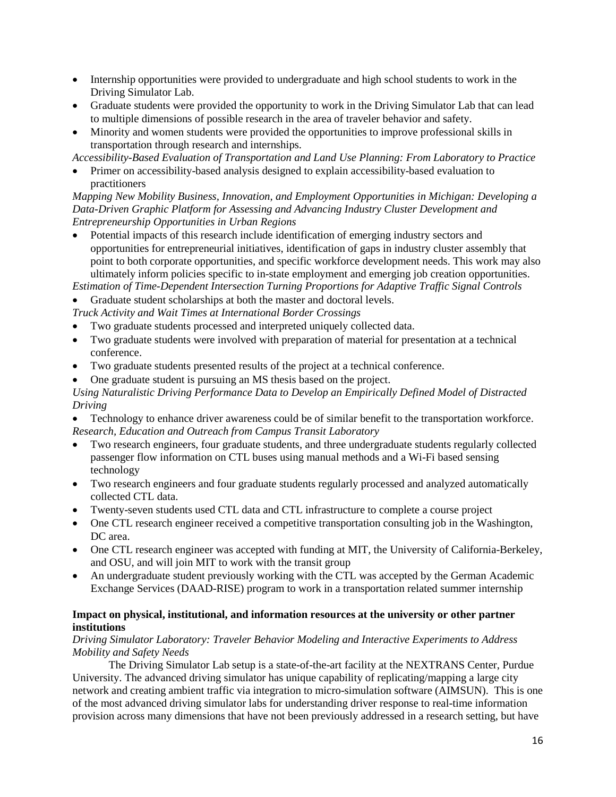- Internship opportunities were provided to undergraduate and high school students to work in the Driving Simulator Lab.
- Graduate students were provided the opportunity to work in the Driving Simulator Lab that can lead to multiple dimensions of possible research in the area of traveler behavior and safety.
- Minority and women students were provided the opportunities to improve professional skills in transportation through research and internships.

*Accessibility-Based Evaluation of Transportation and Land Use Planning: From Laboratory to Practice*

• Primer on accessibility-based analysis designed to explain accessibility-based evaluation to practitioners

*Mapping New Mobility Business, Innovation, and Employment Opportunities in Michigan: Developing a Data-Driven Graphic Platform for Assessing and Advancing Industry Cluster Development and Entrepreneurship Opportunities in Urban Regions*

• Potential impacts of this research include identification of emerging industry sectors and opportunities for entrepreneurial initiatives, identification of gaps in industry cluster assembly that point to both corporate opportunities, and specific workforce development needs. This work may also ultimately inform policies specific to in-state employment and emerging job creation opportunities.

*Estimation of Time-Dependent Intersection Turning Proportions for Adaptive Traffic Signal Controls* • Graduate student scholarships at both the master and doctoral levels.

- *Truck Activity and Wait Times at International Border Crossings*
- Two graduate students processed and interpreted uniquely collected data.
- Two graduate students were involved with preparation of material for presentation at a technical conference.
- Two graduate students presented results of the project at a technical conference.
- One graduate student is pursuing an MS thesis based on the project.

*Using Naturalistic Driving Performance Data to Develop an Empirically Defined Model of Distracted Driving*

- Technology to enhance driver awareness could be of similar benefit to the transportation workforce. *Research, Education and Outreach from Campus Transit Laboratory*
- Two research engineers, four graduate students, and three undergraduate students regularly collected passenger flow information on CTL buses using manual methods and a Wi-Fi based sensing technology
- Two research engineers and four graduate students regularly processed and analyzed automatically collected CTL data.
- Twenty-seven students used CTL data and CTL infrastructure to complete a course project
- One CTL research engineer received a competitive transportation consulting job in the Washington, DC area.
- One CTL research engineer was accepted with funding at MIT, the University of California-Berkeley, and OSU, and will join MIT to work with the transit group
- An undergraduate student previously working with the CTL was accepted by the German Academic Exchange Services (DAAD-RISE) program to work in a transportation related summer internship

## **Impact on physical, institutional, and information resources at the university or other partner institutions**

#### *Driving Simulator Laboratory: Traveler Behavior Modeling and Interactive Experiments to Address Mobility and Safety Needs*

The Driving Simulator Lab setup is a state-of-the-art facility at the NEXTRANS Center, Purdue University. The advanced driving simulator has unique capability of replicating/mapping a large city network and creating ambient traffic via integration to micro-simulation software (AIMSUN). This is one of the most advanced driving simulator labs for understanding driver response to real-time information provision across many dimensions that have not been previously addressed in a research setting, but have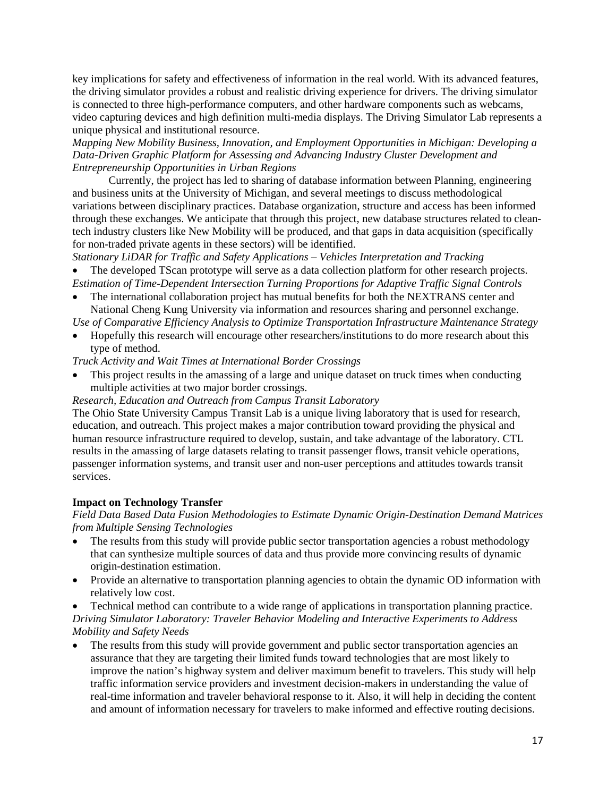key implications for safety and effectiveness of information in the real world. With its advanced features, the driving simulator provides a robust and realistic driving experience for drivers. The driving simulator is connected to three high-performance computers, and other hardware components such as webcams, video capturing devices and high definition multi-media displays. The Driving Simulator Lab represents a unique physical and institutional resource.

*Mapping New Mobility Business, Innovation, and Employment Opportunities in Michigan: Developing a Data-Driven Graphic Platform for Assessing and Advancing Industry Cluster Development and Entrepreneurship Opportunities in Urban Regions*

Currently, the project has led to sharing of database information between Planning, engineering and business units at the University of Michigan, and several meetings to discuss methodological variations between disciplinary practices. Database organization, structure and access has been informed through these exchanges. We anticipate that through this project, new database structures related to cleantech industry clusters like New Mobility will be produced, and that gaps in data acquisition (specifically for non-traded private agents in these sectors) will be identified.

*Stationary LiDAR for Traffic and Safety Applications – Vehicles Interpretation and Tracking*

• The developed TScan prototype will serve as a data collection platform for other research projects. *Estimation of Time-Dependent Intersection Turning Proportions for Adaptive Traffic Signal Controls*

• The international collaboration project has mutual benefits for both the NEXTRANS center and National Cheng Kung University via information and resources sharing and personnel exchange.

*Use of Comparative Efficiency Analysis to Optimize Transportation Infrastructure Maintenance Strategy*

• Hopefully this research will encourage other researchers/institutions to do more research about this type of method.

*Truck Activity and Wait Times at International Border Crossings*

• This project results in the amassing of a large and unique dataset on truck times when conducting multiple activities at two major border crossings.

#### *Research, Education and Outreach from Campus Transit Laboratory*

The Ohio State University Campus Transit Lab is a unique living laboratory that is used for research, education, and outreach. This project makes a major contribution toward providing the physical and human resource infrastructure required to develop, sustain, and take advantage of the laboratory. CTL results in the amassing of large datasets relating to transit passenger flows, transit vehicle operations, passenger information systems, and transit user and non-user perceptions and attitudes towards transit services.

#### **Impact on Technology Transfer**

## *Field Data Based Data Fusion Methodologies to Estimate Dynamic Origin-Destination Demand Matrices from Multiple Sensing Technologies*

- The results from this study will provide public sector transportation agencies a robust methodology that can synthesize multiple sources of data and thus provide more convincing results of dynamic origin-destination estimation.
- Provide an alternative to transportation planning agencies to obtain the dynamic OD information with relatively low cost.

• Technical method can contribute to a wide range of applications in transportation planning practice. *Driving Simulator Laboratory: Traveler Behavior Modeling and Interactive Experiments to Address Mobility and Safety Needs*

The results from this study will provide government and public sector transportation agencies an assurance that they are targeting their limited funds toward technologies that are most likely to improve the nation's highway system and deliver maximum benefit to travelers. This study will help traffic information service providers and investment decision-makers in understanding the value of real-time information and traveler behavioral response to it. Also, it will help in deciding the content and amount of information necessary for travelers to make informed and effective routing decisions.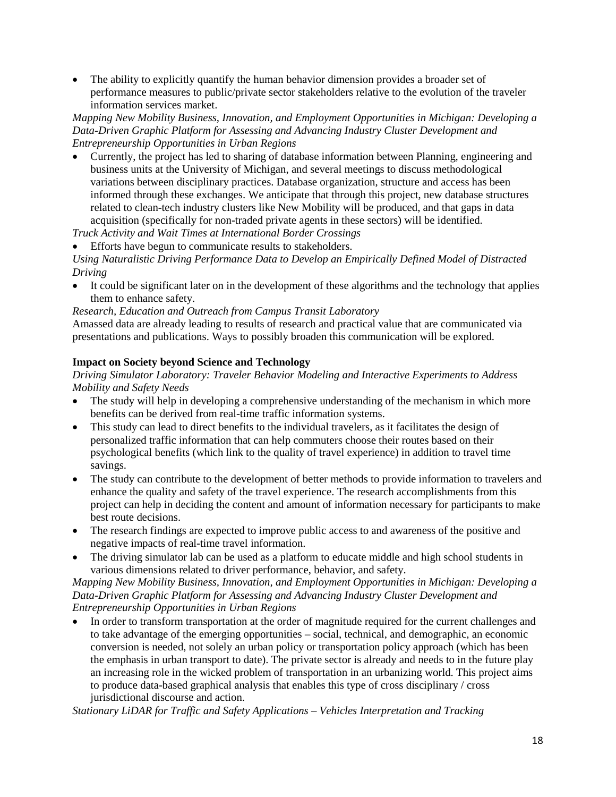The ability to explicitly quantify the human behavior dimension provides a broader set of performance measures to public/private sector stakeholders relative to the evolution of the traveler information services market.

*Mapping New Mobility Business, Innovation, and Employment Opportunities in Michigan: Developing a Data-Driven Graphic Platform for Assessing and Advancing Industry Cluster Development and Entrepreneurship Opportunities in Urban Regions*

• Currently, the project has led to sharing of database information between Planning, engineering and business units at the University of Michigan, and several meetings to discuss methodological variations between disciplinary practices. Database organization, structure and access has been informed through these exchanges. We anticipate that through this project, new database structures related to clean-tech industry clusters like New Mobility will be produced, and that gaps in data acquisition (specifically for non-traded private agents in these sectors) will be identified.

*Truck Activity and Wait Times at International Border Crossings*

• Efforts have begun to communicate results to stakeholders.

*Using Naturalistic Driving Performance Data to Develop an Empirically Defined Model of Distracted Driving*

It could be significant later on in the development of these algorithms and the technology that applies them to enhance safety.

#### *Research, Education and Outreach from Campus Transit Laboratory*

Amassed data are already leading to results of research and practical value that are communicated via presentations and publications. Ways to possibly broaden this communication will be explored.

## **Impact on Society beyond Science and Technology**

*Driving Simulator Laboratory: Traveler Behavior Modeling and Interactive Experiments to Address Mobility and Safety Needs*

- The study will help in developing a comprehensive understanding of the mechanism in which more benefits can be derived from real-time traffic information systems.
- This study can lead to direct benefits to the individual travelers, as it facilitates the design of personalized traffic information that can help commuters choose their routes based on their psychological benefits (which link to the quality of travel experience) in addition to travel time savings.
- The study can contribute to the development of better methods to provide information to travelers and enhance the quality and safety of the travel experience. The research accomplishments from this project can help in deciding the content and amount of information necessary for participants to make best route decisions.
- The research findings are expected to improve public access to and awareness of the positive and negative impacts of real-time travel information.
- The driving simulator lab can be used as a platform to educate middle and high school students in various dimensions related to driver performance, behavior, and safety.

*Mapping New Mobility Business, Innovation, and Employment Opportunities in Michigan: Developing a Data-Driven Graphic Platform for Assessing and Advancing Industry Cluster Development and Entrepreneurship Opportunities in Urban Regions*

• In order to transform transportation at the order of magnitude required for the current challenges and to take advantage of the emerging opportunities – social, technical, and demographic, an economic conversion is needed, not solely an urban policy or transportation policy approach (which has been the emphasis in urban transport to date). The private sector is already and needs to in the future play an increasing role in the wicked problem of transportation in an urbanizing world. This project aims to produce data-based graphical analysis that enables this type of cross disciplinary / cross jurisdictional discourse and action.

*Stationary LiDAR for Traffic and Safety Applications – Vehicles Interpretation and Tracking*